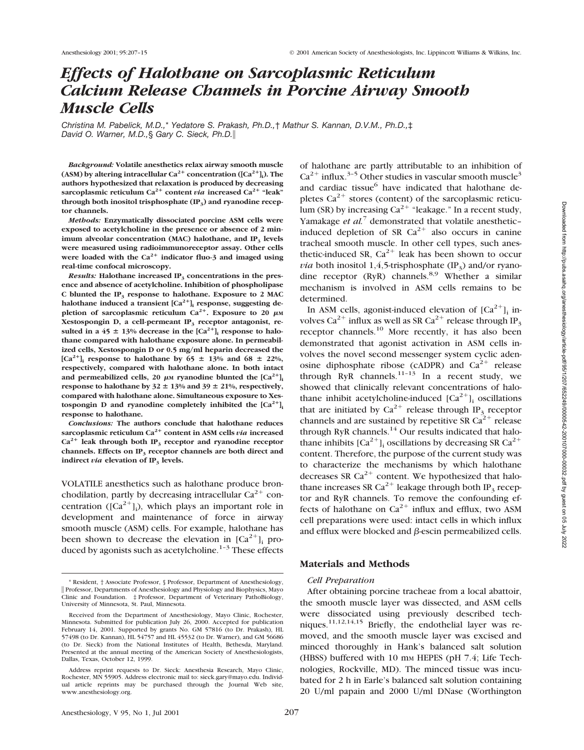# *Effects of Halothane on Sarcoplasmic Reticulum Calcium Release Channels in Porcine Airway Smooth Muscle Cells*

*Christina M. Pabelick, M.D.,*\* *Yedatore S. Prakash, Ph.D.,*† *Mathur S. Kannan, D.V.M., Ph.D.,*‡ *David O. Warner, M.D.,*§ *Gary C. Sieck, Ph.D.*i

*Background:* **Volatile anesthetics relax airway smooth muscle** (ASM) by altering intracellular Ca<sup>2+</sup> concentration ([Ca<sup>2+</sup>]<sub>i</sub>). The **authors hypothesized that relaxation is produced by decreasing sarcoplasmic reticulum Ca<sup>2+</sup> content** *via* **increased Ca<sup>2+</sup> "leak"** through both inositol trisphosphate (IP<sub>3</sub>) and ryanodine recep**tor channels.**

*Methods:* **Enzymatically dissociated porcine ASM cells were exposed to acetylcholine in the presence or absence of 2 minimum alveolar concentration (MAC) halothane, and IP<sub>3</sub> levels were measured using radioimmunoreceptor assay. Other cells** were loaded with the  $Ca^{2+}$  indicator fluo-3 and imaged using **real-time confocal microscopy.**

*Results:* Halothane increased IP<sub>3</sub> concentrations in the pres**ence and absence of acetylcholine. Inhibition of phospholipase C blunted the IP3 response to halothane. Exposure to 2 MAC** halothane induced a transient  $[Ca^{2+}]$ <sub>i</sub> response, suggesting de**pletion of sarcoplasmic reticulum Ca<sup>2+</sup>. Exposure to 20**  $\mu$ M Xestospongin D, a cell-permeant IP<sub>3</sub> receptor antagonist, resulted in a 45  $\pm$  13% decrease in the  $[Ca^{2+}]$ <sub>i</sub> response to halo**thane compared with halothane exposure alone. In permeabilized cells, Xestospongin D or 0.5 mg/ml heparin decreased the**  $[Ca^{2+}]$ **; response to halothane by 65**  $\pm$  13% and 68  $\pm$  22%, **respectively, compared with halothane alone. In both intact** and permeabilized cells, 20  $\mu$ M **ryanodine** blunted the  $[Ca^{2+}]$ **i response to halothane by 32**  $\pm$  13% and 39  $\pm$  21%, respectively, **compared with halothane alone. Simultaneous exposure to Xes**tospongin D and ryanodine completely inhibited the  $[Ca^{2+}]$ **i response to halothane.**

*Conclusions:* **The authors conclude that halothane reduces sarcoplasmic reticulum Ca2**<sup>1</sup> **content in ASM cells** *via* **increased**  $Ca^{2+}$  leak through both IP<sub>3</sub> receptor and ryanodine receptor **channels. Effects on IP3 receptor channels are both direct and indirect** *via* **elevation** of  $IP_3$  **levels.** 

VOLATILE anesthetics such as halothane produce bronchodilation, partly by decreasing intracellular  $Ca^{2+}$  concentration ( $[Ca^{2+}]_i$ ), which plays an important role in development and maintenance of force in airway smooth muscle (ASM) cells. For example, halothane has been shown to decrease the elevation in  $[Ca^{2+}]$ <sub>i</sub> produced by agonists such as acetylcholine. $1-3$  These effects of halothane are partly attributable to an inhibition of  $Ca^{2+}$  influx.<sup>3-5</sup> Other studies in vascular smooth muscle<sup>3</sup> and cardiac tissue<sup>6</sup> have indicated that halothane depletes  $Ca^{2+}$  stores (content) of the sarcoplasmic reticulum (SR) by increasing  $Ca^{2+}$  "leakage." In a recent study, Yamakage *et al.*<sup>7</sup> demonstrated that volatile anestheticinduced depletion of SR  $Ca^{2+}$  also occurs in canine tracheal smooth muscle. In other cell types, such anesthetic-induced SR,  $Ca^{2+}$  leak has been shown to occur *via* both inositol 1,4,5-trisphosphate (IP<sub>3</sub>) and/or ryanodine receptor (RyR) channels.<sup>8,9</sup> Whether a similar mechanism is involved in ASM cells remains to be determined.

In ASM cells, agonist-induced elevation of  $[Ca^{2+}]$ <sub>i</sub> involves Ca<sup>2+</sup> influx as well as SR Ca<sup>2+</sup> release through IP<sub>3</sub> receptor channels.<sup>10</sup> More recently, it has also been demonstrated that agonist activation in ASM cells involves the novel second messenger system cyclic adenosine diphosphate ribose (cADPR) and  $Ca^{2+}$  release through RyR channels.<sup>11-13</sup> In a recent study, we showed that clinically relevant concentrations of halothane inhibit acetylcholine-induced  $[Ca^{2+}]$ <sub>i</sub> oscillations that are initiated by  $Ca^{2+}$  release through IP<sub>3</sub> receptor channels and are sustained by repetitive SR  $Ca^{2+}$  release through RyR channels. $14$  Our results indicated that halothane inhibits  $[Ca^{2+}]$ , oscillations by decreasing SR  $Ca^{2+}$ content. Therefore, the purpose of the current study was to characterize the mechanisms by which halothane decreases SR  $Ca^{2+}$  content. We hypothesized that halothane increases SR Ca<sup>2+</sup> leakage through both IP<sub>3</sub> receptor and RyR channels. To remove the confounding effects of halothane on  $Ca^{2+}$  influx and efflux, two ASM cell preparations were used: intact cells in which influx and efflux were blocked and  $\beta$ -escin permeabilized cells.

## **Materials and Methods**

#### *Cell Preparation*

After obtaining porcine tracheae from a local abattoir, the smooth muscle layer was dissected, and ASM cells were dissociated using previously described techniques.11,12,14,15 Briefly, the endothelial layer was removed, and the smooth muscle layer was excised and minced thoroughly in Hank's balanced salt solution (HBSS) buffered with 10 mm HEPES (pH 7.4; Life Technologies, Rockville, MD). The minced tissue was incubated for 2 h in Earle's balanced salt solution containing 20 U/ml papain and 2000 U/ml DNase (Worthington

<sup>\*</sup> Resident, † Associate Professor, § Professor, Department of Anesthesiology, i Professor, Departments of Anesthesiology and Physiology and Biophysics, Mayo Clinic and Foundation. ‡ Professor, Department of Veterinary PathoBiology, University of Minnesota, St. Paul, Minnesota.

Received from the Department of Anesthesiology, Mayo Clinic, Rochester, Minnesota. Submitted for publication July 26, 2000. Accepted for publication February 14, 2001. Supported by grants No. GM 57816 (to Dr. Prakash), HL 57498 (to Dr. Kannan), HL 54757 and HL 45532 (to Dr. Warner), and GM 56686 (to Dr. Sieck) from the National Institutes of Health, Bethesda, Maryland. Presented at the annual meeting of the American Society of Anesthesiologists, Dallas, Texas, October 12, 1999.

Address reprint requests to Dr. Sieck: Anesthesia Research, Mayo Clinic, Rochester, MN 55905. Address electronic mail to: sieck.gary@mayo.edu. Individual article reprints may be purchased through the Journal Web site, www.anesthesiology.org.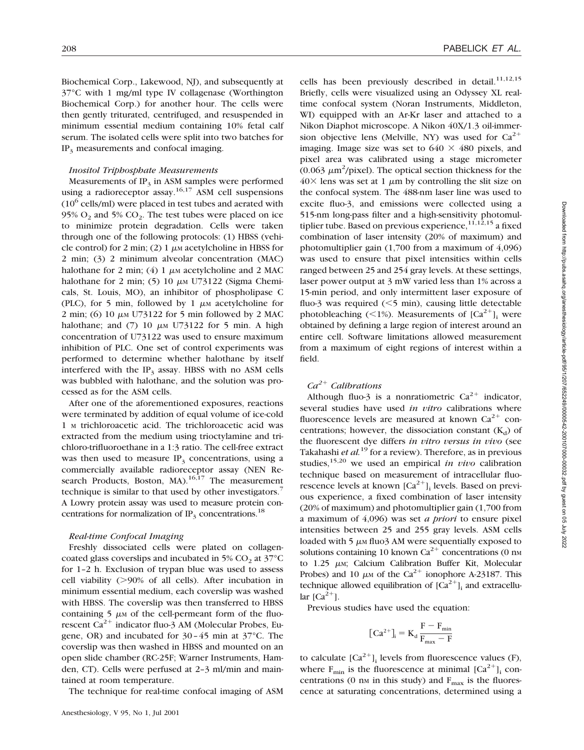Biochemical Corp., Lakewood, NJ), and subsequently at 37°C with 1 mg/ml type IV collagenase (Worthington Biochemical Corp.) for another hour. The cells were then gently triturated, centrifuged, and resuspended in minimum essential medium containing 10% fetal calf serum. The isolated cells were split into two batches for IP<sub>3</sub> measurements and confocal imaging.

# *Inositol Triphosphate Measurements*

Measurements of  $IP_3$  in ASM samples were performed using a radioreceptor assay.<sup>16,17</sup> ASM cell suspensions  $(10^6 \text{ cells/ml})$  were placed in test tubes and aerated with  $95\%$  O<sub>2</sub> and  $5\%$  CO<sub>2</sub>. The test tubes were placed on ice to minimize protein degradation. Cells were taken through one of the following protocols: (1) HBSS (vehicle control) for 2 min; (2) 1  $\mu$ M acetylcholine in HBSS for 2 min; (3) 2 minimum alveolar concentration (MAC) halothane for 2 min; (4) 1  $\mu$ M acetylcholine and 2 MAC halothane for 2 min; (5) 10  $\mu$ M U73122 (Sigma Chemicals, St. Louis, MO), an inhibitor of phospholipase C (PLC), for 5 min, followed by 1  $\mu$ M acetylcholine for 2 min; (6) 10  $\mu$ M U73122 for 5 min followed by 2 MAC halothane; and  $(7)$  10  $\mu$ M U73122 for 5 min. A high concentration of U73122 was used to ensure maximum inhibition of PLC. One set of control experiments was performed to determine whether halothane by itself interfered with the  $IP_3$  assay. HBSS with no ASM cells was bubbled with halothane, and the solution was processed as for the ASM cells.

After one of the aforementioned exposures, reactions were terminated by addition of equal volume of ice-cold 1 <sup>M</sup> trichloroacetic acid. The trichloroacetic acid was extracted from the medium using trioctylamine and trichloro-trifluoroethane in a 1:3 ratio. The cell-free extract was then used to measure  $IP_3$  concentrations, using a commercially available radioreceptor assay (NEN Research Products, Boston, MA).<sup>16,17</sup> The measurement technique is similar to that used by other investigators.<sup>7</sup> A Lowry protein assay was used to measure protein concentrations for normalization of  $IP_3$  concentrations.<sup>18</sup>

## *Real-time Confocal Imaging*

Freshly dissociated cells were plated on collagencoated glass coverslips and incubated in 5%  $CO<sub>2</sub>$  at 37 $^{\circ}$ C for 1–2 h. Exclusion of trypan blue was used to assess cell viability  $(>=)90\%$  of all cells). After incubation in minimum essential medium, each coverslip was washed with HBSS. The coverslip was then transferred to HBSS containing  $5 \mu M$  of the cell-permeant form of the fluorescent  $Ca^{2+}$  indicator fluo-3 AM (Molecular Probes, Eugene, OR) and incubated for 30–45 min at 37°C. The coverslip was then washed in HBSS and mounted on an open slide chamber (RC-25F; Warner Instruments, Hamden, CT). Cells were perfused at 2–3 ml/min and maintained at room temperature.

The technique for real-time confocal imaging of ASM

cells has been previously described in detail.<sup>11,12,15</sup> Briefly, cells were visualized using an Odyssey XL realtime confocal system (Noran Instruments, Middleton, WI) equipped with an Ar-Kr laser and attached to a Nikon Diaphot microscope. A Nikon 40X/1.3 oil-immersion objective lens (Melville, NY) was used for  $Ca^{2+}$ imaging. Image size was set to  $640 \times 480$  pixels, and pixel area was calibrated using a stage micrometer (0.063  $\mu$ m<sup>2</sup>/pixel). The optical section thickness for the  $40\times$  lens was set at 1  $\mu$ m by controlling the slit size on the confocal system. The 488-nm laser line was used to excite fluo-3, and emissions were collected using a 515-nm long-pass filter and a high-sensitivity photomultiplier tube. Based on previous experience,  $11,12,15$  a fixed combination of laser intensity (20% of maximum) and photomultiplier gain (1,700 from a maximum of 4,096) was used to ensure that pixel intensities within cells ranged between 25 and 254 gray levels. At these settings, laser power output at 3 mW varied less than 1% across a 15-min period, and only intermittent laser exposure of fluo-3 was required  $(< 5$  min), causing little detectable photobleaching ( $\leq$ 1%). Measurements of  $[Ca^{2+}]$ ; were obtained by defining a large region of interest around an entire cell. Software limitations allowed measurement from a maximum of eight regions of interest within a field.

# *Ca2*<sup>1</sup> *Calibrations*

Although fluo-3 is a nonratiometric  $Ca^{2+}$  indicator, several studies have used *in vitro* calibrations where fluorescence levels are measured at known  $Ca^{2+}$  concentrations; however, the dissociation constant  $(K_d)$  of the fluorescent dye differs *in vitro versus in vivo* (see Takahashi *et al.*<sup>19</sup> for a review). Therefore, as in previous studies,<sup>15,20</sup> we used an empirical *in vivo* calibration technique based on measurement of intracellular fluorescence levels at known  $[Ca^{2+}]$ <sub>i</sub> levels. Based on previous experience, a fixed combination of laser intensity (20% of maximum) and photomultiplier gain (1,700 from a maximum of 4,096) was set *a priori* to ensure pixel intensities between 25 and 255 gray levels. ASM cells loaded with  $5 \mu M$  fluo3 AM were sequentially exposed to solutions containing 10 known  $Ca^{2+}$  concentrations (0 nm to 1.25  $\mu$ M; Calcium Calibration Buffer Kit, Molecular Probes) and 10  $\mu$ M of the Ca<sup>2+</sup> ionophore A-23187. This technique allowed equilibration of  $[Ca^{2+}]$ <sub>i</sub> and extracellular  $\lceil Ca^{2+} \rceil$ .

Previous studies have used the equation:

$$
[\,Ca^{2+} ]_i = K_d \, \frac{F-F_{min}}{F_{max}-F}
$$

to calculate  $[Ca^{2+}]$ ; levels from fluorescence values (F), where  $F_{\text{min}}$  is the fluorescence at minimal  $[Ca^{2+}]$ <sub>i</sub> concentrations (0 nm in this study) and  $F_{\text{max}}$  is the fluorescence at saturating concentrations, determined using a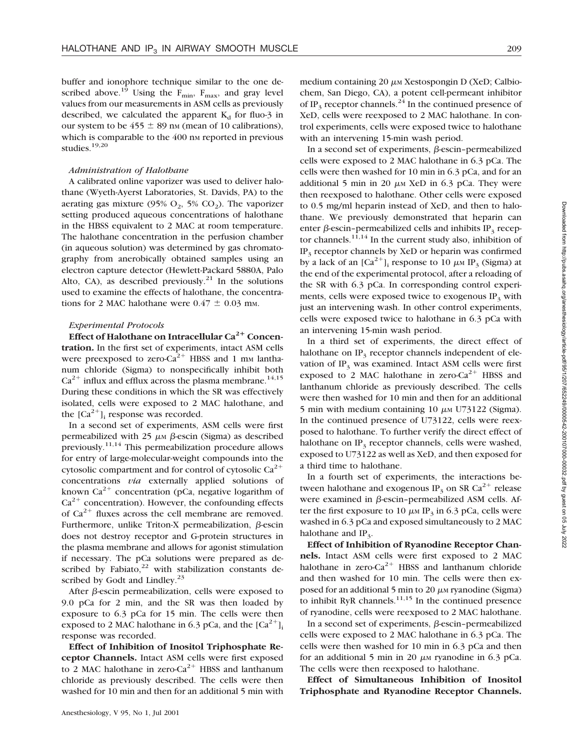buffer and ionophore technique similar to the one described above.<sup>19</sup> Using the  $F_{\text{min}}$ ,  $F_{\text{max}}$ , and gray level values from our measurements in ASM cells as previously described, we calculated the apparent  $K_d$  for fluo-3 in our system to be  $455 \pm 89$  nm (mean of 10 calibrations), which is comparable to the 400 nm reported in previous studies. $19,20$ 

#### *Administration of Halothane*

A calibrated online vaporizer was used to deliver halothane (Wyeth-Ayerst Laboratories, St. Davids, PA) to the aerating gas mixture (95%  $O_2$ , 5%  $CO_2$ ). The vaporizer setting produced aqueous concentrations of halothane in the HBSS equivalent to 2 MAC at room temperature. The halothane concentration in the perfusion chamber (in aqueous solution) was determined by gas chromatography from anerobically obtained samples using an electron capture detector (Hewlett-Packard 5880A, Palo Alto, CA), as described previously.<sup>21</sup> In the solutions used to examine the effects of halothane, the concentrations for 2 MAC halothane were  $0.47 \pm 0.03$  mm.

# *Experimental Protocols*

Effect of Halothane on Intracellular Ca<sup>2+</sup> Concen**tration.** In the first set of experiments, intact ASM cells were preexposed to zero- $Ca^{2+}$  HBSS and 1 mm lanthanum chloride (Sigma) to nonspecifically inhibit both  $Ca^{2+}$  influx and efflux across the plasma membrane.<sup>14,15</sup> During these conditions in which the SR was effectively isolated, cells were exposed to 2 MAC halothane, and the  $[Ca^{2+}]$ <sub>i</sub> response was recorded.

In a second set of experiments, ASM cells were first permeabilized with 25  $\mu$ M  $\beta$ -escin (Sigma) as described previously.<sup>11,14</sup> This permeabilization procedure allows for entry of large-molecular-weight compounds into the cytosolic compartment and for control of cytosolic  $Ca^{2+}$ concentrations *via* externally applied solutions of known  $Ca^{2+}$  concentration (pCa, negative logarithm of  $Ca<sup>2+</sup>$  concentration). However, the confounding effects of  $Ca^{2+}$  fluxes across the cell membrane are removed. Furthermore, unlike Triton-X permeabilization,  $\beta$ -escin does not destroy receptor and G-protein structures in the plasma membrane and allows for agonist stimulation if necessary. The pCa solutions were prepared as described by Fabiato, $22$  with stabilization constants described by Godt and Lindley. $^{23}$ 

After  $\beta$ -escin permeabilization, cells were exposed to 9.0 pCa for 2 min, and the SR was then loaded by exposure to 6.3 pCa for 15 min. The cells were then exposed to 2 MAC halothane in 6.3 pCa, and the  $[Ca^{2+}]$ . response was recorded.

**Effect of Inhibition of Inositol Triphosphate Receptor Channels.** Intact ASM cells were first exposed to 2 MAC halothane in zero-Ca<sup>2+</sup> HBSS and lanthanum chloride as previously described. The cells were then washed for 10 min and then for an additional 5 min with medium containing  $20 \mu$ M Xestospongin D (XeD; Calbiochem, San Diego, CA), a potent cell-permeant inhibitor of IP<sub>3</sub> receptor channels.<sup>24</sup> In the continued presence of XeD, cells were reexposed to 2 MAC halothane. In control experiments, cells were exposed twice to halothane with an intervening 15-min wash period.

In a second set of experiments,  $\beta$ -escin–permeabilized cells were exposed to 2 MAC halothane in 6.3 pCa. The cells were then washed for 10 min in 6.3 pCa, and for an additional 5 min in 20  $\mu$ M XeD in 6.3 pCa. They were then reexposed to halothane. Other cells were exposed to 0.5 mg/ml heparin instead of XeD, and then to halothane. We previously demonstrated that heparin can enter  $\beta$ -escin–permeabilized cells and inhibits IP<sub>3</sub> receptor channels.<sup>11,14</sup> In the current study also, inhibition of IP<sub>3</sub> receptor channels by XeD or heparin was confirmed by a lack of an  $\lceil Ca^{2+} \rceil$  response to 10  $\mu$ M IP<sub>3</sub> (Sigma) at the end of the experimental protocol, after a reloading of the SR with 6.3 pCa. In corresponding control experiments, cells were exposed twice to exogenous  $IP_3$  with just an intervening wash. In other control experiments, cells were exposed twice to halothane in 6.3 pCa with an intervening 15-min wash period.

In a third set of experiments, the direct effect of halothane on  $IP_3$  receptor channels independent of elevation of  $IP_3$  was examined. Intact ASM cells were first exposed to 2 MAC halothane in zero- $Ca^{2+}$  HBSS and lanthanum chloride as previously described. The cells were then washed for 10 min and then for an additional 5 min with medium containing 10  $\mu$ M U73122 (Sigma). In the continued presence of U73122, cells were reexposed to halothane. To further verify the direct effect of halothane on  $IP_3$  receptor channels, cells were washed, exposed to U73122 as well as XeD, and then exposed for a third time to halothane.

In a fourth set of experiments, the interactions between halothane and exogenous IP<sub>3</sub> on SR Ca<sup>2+</sup> release were examined in  $\beta$ -escin–permeabilized ASM cells. After the first exposure to 10  $\mu$ M IP<sub>3</sub> in 6.3 pCa, cells were washed in 6.3 pCa and exposed simultaneously to 2 MAC halothane and  $IP_3$ .

**Effect of Inhibition of Ryanodine Receptor Channels.** Intact ASM cells were first exposed to 2 MAC halothane in zero-Ca<sup>2+</sup> HBSS and lanthanum chloride and then washed for 10 min. The cells were then exposed for an additional 5 min to 20  $\mu$ M ryanodine (Sigma) to inhibit RyR channels. $11,15$  In the continued presence of ryanodine, cells were reexposed to 2 MAC halothane.

In a second set of experiments,  $\beta$ -escin-permeabilized cells were exposed to 2 MAC halothane in 6.3 pCa. The cells were then washed for 10 min in 6.3 pCa and then for an additional 5 min in 20  $\mu$ M ryanodine in 6.3 pCa. The cells were then reexposed to halothane.

**Effect of Simultaneous Inhibition of Inositol Triphosphate and Ryanodine Receptor Channels.**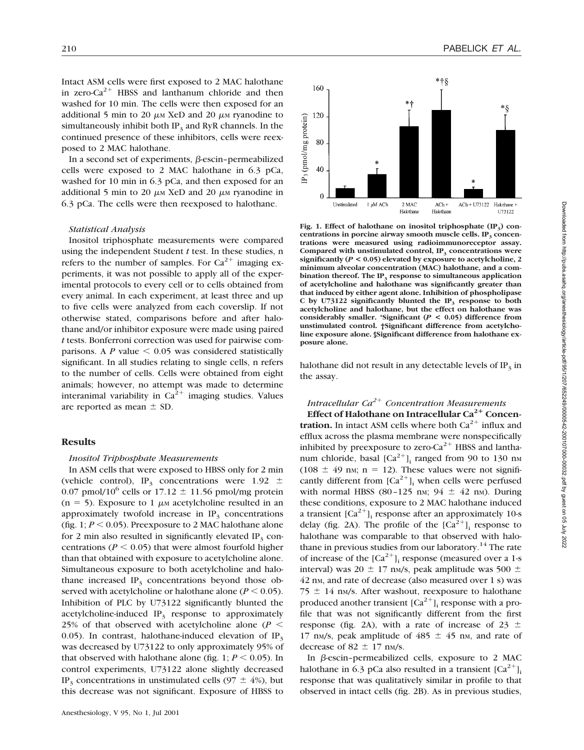Intact ASM cells were first exposed to 2 MAC halothane in zero- $Ca^{2+}$  HBSS and lanthanum chloride and then washed for 10 min. The cells were then exposed for an additional 5 min to 20  $\mu$ M XeD and 20  $\mu$ M ryanodine to simultaneously inhibit both  $IP_3$  and RyR channels. In the continued presence of these inhibitors, cells were reexposed to 2 MAC halothane.

In a second set of experiments,  $\beta$ -escin–permeabilized cells were exposed to 2 MAC halothane in 6.3 pCa, washed for 10 min in 6.3 pCa, and then exposed for an additional 5 min to 20  $\mu$ M XeD and 20  $\mu$ M ryanodine in 6.3 pCa. The cells were then reexposed to halothane.

#### *Statistical Analysis*

Inositol triphosphate measurements were compared using the independent Student *t* test. In these studies, n refers to the number of samples. For  $Ca^{2+}$  imaging experiments, it was not possible to apply all of the experimental protocols to every cell or to cells obtained from every animal. In each experiment, at least three and up to five cells were analyzed from each coverslip. If not otherwise stated, comparisons before and after halothane and/or inhibitor exposure were made using paired *t* tests. Bonferroni correction was used for pairwise comparisons. A  $P$  value  $\leq 0.05$  was considered statistically significant. In all studies relating to single cells, n refers to the number of cells. Cells were obtained from eight animals; however, no attempt was made to determine interanimal variability in  $Ca^{2+}$  imaging studies. Values are reported as mean  $\pm$  SD.

#### **Results**

#### *Inositol Triphosphate Measurements*

In ASM cells that were exposed to HBSS only for 2 min (vehicle control), IP<sub>3</sub> concentrations were 1.92  $\pm$ 0.07 pmol/10<sup>6</sup> cells or 17.12  $\pm$  11.56 pmol/mg protein  $(n = 5)$ . Exposure to 1  $\mu$ m acetylcholine resulted in an approximately twofold increase in  $IP<sub>3</sub>$  concentrations (fig. 1;  $P \le 0.05$ ). Preexposure to 2 MAC halothane alone for 2 min also resulted in significantly elevated  $IP<sub>3</sub>$  concentrations ( $P < 0.05$ ) that were almost fourfold higher than that obtained with exposure to acetylcholine alone. Simultaneous exposure to both acetylcholine and halothane increased  $IP_3$  concentrations beyond those observed with acetylcholine or halothane alone ( $P \le 0.05$ ). Inhibition of PLC by U73122 significantly blunted the acetylcholine-induced  $IP_3$  response to approximately 25% of that observed with acetylcholine alone ( $P <$ 0.05). In contrast, halothane-induced elevation of  $IP_3$ was decreased by U73122 to only approximately 95% of that observed with halothane alone (fig. 1;  $P \le 0.05$ ). In control experiments, U73122 alone slightly decreased IP<sub>3</sub> concentrations in unstimulated cells (97  $\pm$  4%), but this decrease was not significant. Exposure of HBSS to



Fig. 1. Effect of halothane on inositol triphosphate (IP<sub>3</sub>) concentrations in porcine airway smooth muscle cells. IP<sub>3</sub> concen**trations were measured using radioimmunoreceptor assay.** Compared with unstimulated control, IP<sub>3</sub> concentrations were **significantly (***P* **< 0.05) elevated by exposure to acetylcholine, 2 minimum alveolar concentration (MAC) halothane, and a combination thereof. The IP<sub>3</sub> response to simultaneous application of acetylcholine and halothane was significantly greater than that induced by either agent alone. Inhibition of phospholipase** C by U73122 significantly blunted the  $IP_3$  response to both **acetylcholine and halothane, but the effect on halothane was considerably smaller. \*Significant (***P* **< 0.05) difference from unstimulated control. †Significant difference from acetylcholine exposure alone. §Significant difference from halothane exposure alone.**

halothane did not result in any detectable levels of  $IP<sub>3</sub>$  in the assay.

# *Intracellular Ca2*<sup>1</sup> *Concentration Measurements*

**Effect of Halothane on Intracellular Ca<sup>2+</sup> Concentration.** In intact ASM cells where both  $Ca^{2+}$  influx and efflux across the plasma membrane were nonspecifically inhibited by preexposure to zero- $Ca^{2+}$  HBSS and lanthanum chloride, basal  $\lbrack Ca^{2+}\rbrack$  ranged from 90 to 130 nm  $(108 \pm 49 \text{ nm}; \text{ n} = 12)$ . These values were not significantly different from  $[Ca^{2+}]$ <sub>i</sub> when cells were perfused with normal HBSS (80–125 nm;  $94 \pm 42$  nm). During these conditions, exposure to 2 MAC halothane induced a transient  $\lceil Ca^{2+} \rceil$  response after an approximately 10-s delay (fig. 2A). The profile of the  $[Ca^{2+}]$ <sub>i</sub> response to halothane was comparable to that observed with halothane in previous studies from our laboratory.<sup>14</sup> The rate of increase of the  $[Ca^{2+}]$ <sub>i</sub> response (measured over a 1-s interval) was 20  $\pm$  17 nm/s, peak amplitude was 500  $\pm$ 42 nm, and rate of decrease (also measured over 1 s) was  $75 \pm 14$  nm/s. After washout, reexposure to halothane produced another transient  $[Ca^{2+}]$ ; response with a profile that was not significantly different from the first response (fig. 2A), with a rate of increase of  $23 \pm$ 17 nm/s, peak amplitude of  $485 \pm 45$  nm, and rate of decrease of 82  $\pm$  17 nm/s.

In  $\beta$ -escin–permeabilized cells, exposure to 2 MAC halothane in 6.3 pCa also resulted in a transient  $[Ca^{2+}].$ response that was qualitatively similar in profile to that observed in intact cells (fig. 2B). As in previous studies,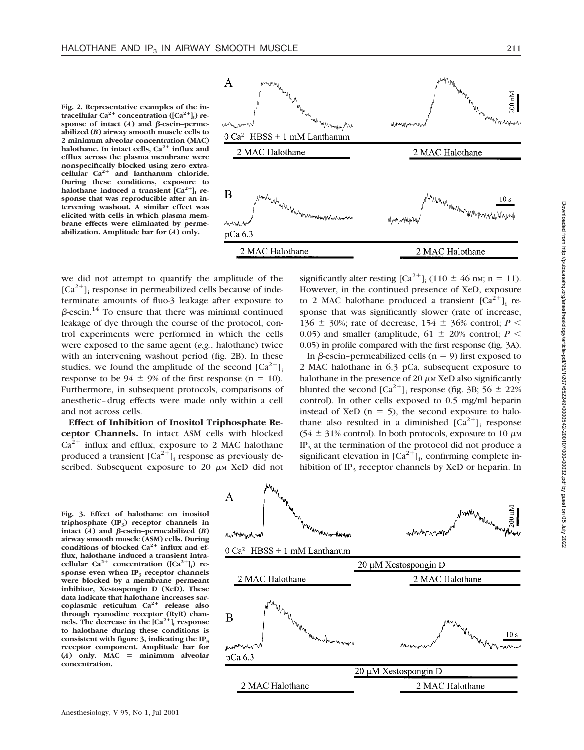**Fig. 2. Representative examples of the in**tracellular Ca<sup>2+</sup> concentration ([Ca<sup>2+</sup>]<sub>i</sub>) response of intact  $(A)$  and  $\beta$ -escin–perme**abilized (***B***) airway smooth muscle cells to 2 minimum alveolar concentration (MAC) halothane.** In intact cells,  $Ca^{2+}$  **influx and efflux across the plasma membrane were nonspecifically blocked using zero extracellular Ca2**<sup>1</sup> **and lanthanum chloride. During these conditions, exposure to halothane induced a transient**  $[Ca^{2+}]$  **response that was reproducible after an intervening washout. A similar effect was elicited with cells in which plasma membrane effects were eliminated by permeabilization. Amplitude bar for (***A***) only.**



we did not attempt to quantify the amplitude of the  $[Ca^{2+}]$ ; response in permeabilized cells because of indeterminate amounts of fluo-3 leakage after exposure to  $\beta$ -escin.<sup>14</sup> To ensure that there was minimal continued leakage of dye through the course of the protocol, control experiments were performed in which the cells were exposed to the same agent (*e.g.*, halothane) twice with an intervening washout period (fig. 2B). In these studies, we found the amplitude of the second  $[Ca^{2+}]$ . response to be  $94 \pm 9\%$  of the first response (n = 10). Furthermore, in subsequent protocols, comparisons of anesthetic–drug effects were made only within a cell and not across cells.

**Effect of Inhibition of Inositol Triphosphate Receptor Channels.** In intact ASM cells with blocked  $Ca^{2+}$  influx and efflux, exposure to 2 MAC halothane produced a transient  $[Ca^{2+}]$ <sub>i</sub> response as previously described. Subsequent exposure to 20  $\mu$ M XeD did not

**Fig. 3. Effect of halothane on inositol triphosphate (IP3) receptor channels in** intact  $(A)$  and  $\beta$ -escin–permeabilized  $(B)$ **airway smooth muscle (ASM) cells. During** conditions of blocked Ca<sup>2+</sup> influx and ef**flux, halothane induced a transient intra**cellular  $Ca^{2+}$  concentration  $([Ca^{2+}]_i)$  re**sponse even when IP<sub>3</sub> receptor channels were blocked by a membrane permeant inhibitor, Xestospongin D (XeD). These data indicate that halothane increases sarcoplasmic reticulum Ca2**<sup>1</sup> **release also through ryanodine receptor (RyR) chan**nels. The decrease in the  $[Ca^{2+}]$ **i** response **to halothane during these conditions is consistent with figure 3, indicating the IP3 receptor component. Amplitude bar for**  $(A)$  only. MAC = minimum alveolar **concentration.**



In  $\beta$ -escin–permeabilized cells (n = 9) first exposed to 2 MAC halothane in 6.3 pCa, subsequent exposure to halothane in the presence of 20  $\mu$ M XeD also significantly blunted the second  $[Ca^{2+}]$ <sub>i</sub> response (fig. 3B; 56  $\pm$  22%) control). In other cells exposed to 0.5 mg/ml heparin instead of XeD ( $n = 5$ ), the second exposure to halothane also resulted in a diminished  $[Ca^{2+}]$ <sub>i</sub> response (54  $\pm$  31% control). In both protocols, exposure to 10  $\mu$ M  $IP<sub>3</sub>$  at the termination of the protocol did not produce a significant elevation in  $[Ca^{2+}]_i$ , confirming complete inhibition of  $IP_3$  receptor channels by XeD or heparin. In

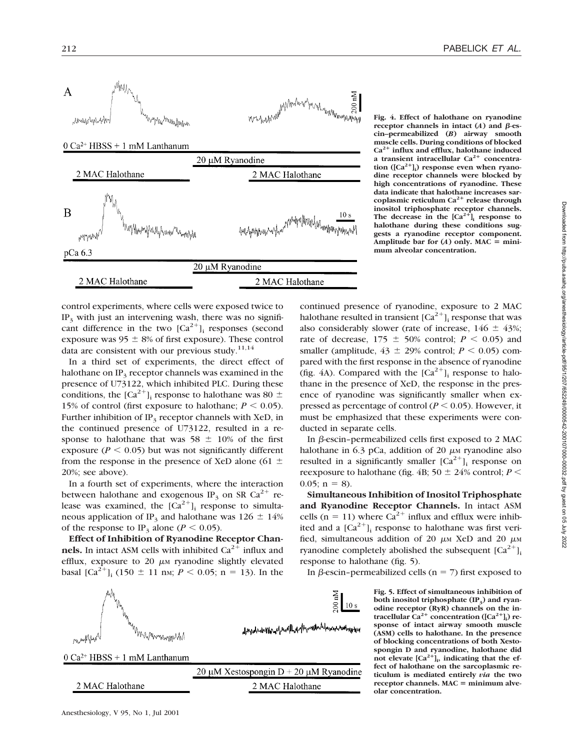

control experiments, where cells were exposed twice to IP3 with just an intervening wash, there was no significant difference in the two  $[Ca^{2+}]$ <sub>i</sub> responses (second exposure was  $95 \pm 8\%$  of first exposure). These control data are consistent with our previous study.<sup>11,14</sup>

In a third set of experiments, the direct effect of halothane on  $IP_3$  receptor channels was examined in the presence of U73122, which inhibited PLC. During these conditions, the  $[Ca^{2+}]$ <sub>i</sub> response to halothane was 80  $\pm$ 15% of control (first exposure to halothane;  $P \le 0.05$ ). Further inhibition of  $IP_3$  receptor channels with XeD, in the continued presence of U73122, resulted in a response to halothane that was  $58 \pm 10\%$  of the first exposure ( $P \le 0.05$ ) but was not significantly different from the response in the presence of XeD alone (61  $\pm$ 20%; see above).

In a fourth set of experiments, where the interaction between halothane and exogenous IP<sub>3</sub> on SR Ca<sup>2+</sup> release was examined, the  $[Ca^{2+}]$ <sub>i</sub> response to simultaneous application of IP<sub>3</sub> and halothane was 126  $\pm$  14% of the response to IP<sub>3</sub> alone ( $P < 0.05$ ).

**Effect of Inhibition of Ryanodine Receptor Chan**nels. In intact ASM cells with inhibited  $Ca<sup>2+</sup>$  influx and efflux, exposure to 20  $\mu$ M ryanodine slightly elevated basal  $\left[\text{Ca}^{2+}\right]_i$  (150  $\pm$  11 nm; *P* < 0.05; n = 13). In the



**Fig. 4. Effect of halothane on ryanodine receptor channels in intact (***A***) and**  $\beta$ **-escin–permeabilized (***B***) airway smooth muscle cells. During conditions of blocked Ca2**<sup>1</sup> **influx and efflux, halothane induced** a transient intracellular Ca<sup>2+</sup> concentration ([Ca<sup>2+</sup>]<sub>i</sub>) response even when ryano**dine receptor channels were blocked by high concentrations of ryanodine. These data indicate that halothane increases sarcoplasmic reticulum Ca2**<sup>1</sup> **release through inositol triphosphate receptor channels.** The decrease in the  $[Ca^{2+}]$ <sub>i</sub> response to **halothane during these conditions suggests a ryanodine receptor component.** Amplitude bar for  $(A)$  only. MAC = mini**mum alveolar concentration.**

continued presence of ryanodine, exposure to 2 MAC halothane resulted in transient  $Ca^{2+1}$  response that was also considerably slower (rate of increase,  $146 \pm 43\%$ ; rate of decrease,  $175 \pm 50\%$  control;  $P < 0.05$ ) and smaller (amplitude,  $43 \pm 29\%$  control;  $P \le 0.05$ ) compared with the first response in the absence of ryanodine (fig. 4A). Compared with the  $[Ca^{2+}]$ <sub>i</sub> response to halothane in the presence of XeD, the response in the presence of ryanodine was significantly smaller when expressed as percentage of control ( $P \le 0.05$ ). However, it must be emphasized that these experiments were conducted in separate cells.

In  $\beta$ -escin–permeabilized cells first exposed to 2 MAC halothane in 6.3 pCa, addition of 20  $\mu$ M ryanodine also resulted in a significantly smaller  $[Ca^{2+}]$ <sub>i</sub> response on reexposure to halothane (fig. 4B;  $50 \pm 24\%$  control; *P* <  $0.05$ ; n = 8).

**Simultaneous Inhibition of Inositol Triphosphate and Ryanodine Receptor Channels.** In intact ASM cells (n = 11) where  $Ca^{2+}$  influx and efflux were inhibited and a  $[Ca^{2+}]$ <sub>i</sub> response to halothane was first verified, simultaneous addition of 20  $\mu$ M XeD and 20  $\mu$ M ryanodine completely abolished the subsequent  $[Ca^{2+}]$ <sub>i</sub> response to halothane (fig. 5).

In  $\beta$ -escin–permeabilized cells (n = 7) first exposed to

**Fig. 5. Effect of simultaneous inhibition of** both inositol triphosphate (IP<sub>3</sub>) and ryan**odine receptor (RyR) channels on the in-** $\text{trace[1}$ **lular**  $\text{Ca}^{2+}$  concentration ( $\text{[Ca}^{2+}\text{]}$ ) re**sponse of intact airway smooth muscle (ASM) cells to halothane. In the presence of blocking concentrations of both Xestospongin D and ryanodine, halothane did** not elevate  $[Ca^{2+}]$ <sup>1</sup>, indicating that the ef**fect of halothane on the sarcoplasmic reticulum is mediated entirely** *via* **the two receptor channels. MAC** = minimum alve**olar concentration.**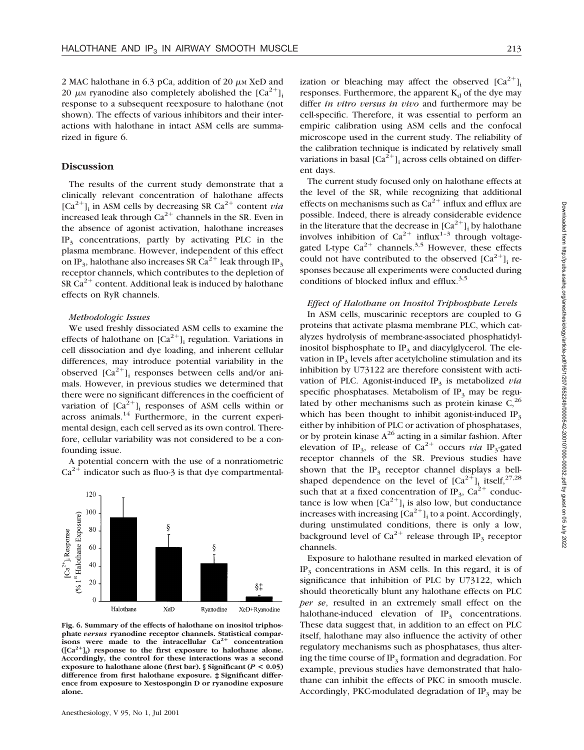2 MAC halothane in 6.3 pCa, addition of 20  $\mu$ M XeD and 20  $\mu$ M ryanodine also completely abolished the [Ca<sup>2+</sup>]<sub>i</sub> response to a subsequent reexposure to halothane (not shown). The effects of various inhibitors and their interactions with halothane in intact ASM cells are summarized in figure 6.

#### **Discussion**

The results of the current study demonstrate that a clinically relevant concentration of halothane affects  $[Ca^{2+}]$ <sub>i</sub> in ASM cells by decreasing SR  $Ca^{2+}$  content *via* increased leak through  $Ca^{2+}$  channels in the SR. Even in the absence of agonist activation, halothane increases  $IP<sub>3</sub>$  concentrations, partly by activating PLC in the plasma membrane. However, independent of this effect on IP<sub>3</sub>, halothane also increases SR  $Ca^{2+}$  leak through IP<sub>3</sub> receptor channels, which contributes to the depletion of SR  $Ca^{2+}$  content. Additional leak is induced by halothane effects on RyR channels.

#### *Methodologic Issues*

We used freshly dissociated ASM cells to examine the effects of halothane on  $[Ca^{2+}]$ <sub>i</sub> regulation. Variations in cell dissociation and dye loading, and inherent cellular differences, may introduce potential variability in the observed  $[Ca^{2+}]$ ; responses between cells and/or animals. However, in previous studies we determined that there were no significant differences in the coefficient of variation of  $[Ca^{2+}]$ ; responses of ASM cells within or across animals.<sup>14</sup> Furthermore, in the current experimental design, each cell served as its own control. Therefore, cellular variability was not considered to be a confounding issue.

A potential concern with the use of a nonratiometric  $Ca^{2+}$  indicator such as fluo-3 is that dye compartmental-



**Fig. 6. Summary of the effects of halothane on inositol triphosphate** *versus* **ryanodine receptor channels. Statistical comparisons** were made to the intracellular Ca<sup>2+</sup> concentration **([Ca2**<sup>1</sup>**]i ) response to the first exposure to halothane alone. Accordingly, the control for these interactions was a second exposure to halothane alone (first bar). § Significant (***P* **< 0.05) difference from first halothane exposure. ‡ Significant difference from exposure to Xestospongin D or ryanodine exposure alone.**

ization or bleaching may affect the observed  $[Ca^{2+}]_i$ responses. Furthermore, the apparent  $K_d$  of the dye may differ *in vitro versus in vivo* and furthermore may be cell-specific. Therefore, it was essential to perform an empiric calibration using ASM cells and the confocal microscope used in the current study. The reliability of the calibration technique is indicated by relatively small variations in basal  $\left[Ca^{2+}\right]_i$  across cells obtained on different days.

The current study focused only on halothane effects at the level of the SR, while recognizing that additional effects on mechanisms such as  $Ca^{2+}$  influx and efflux are possible. Indeed, there is already considerable evidence in the literature that the decrease in  $[Ca^{2+}]$ <sub>i</sub> by halothane involves inhibition of  $Ca^{2+}$  influx<sup>1-3</sup> through voltagegated L-type  $Ca^{2+}$  channels.<sup>3,5</sup> However, these effects could not have contributed to the observed  $[Ca^{2+}]$ <sub>i</sub> responses because all experiments were conducted during conditions of blocked influx and efflux. $3.5$ 

## *Effect of Halothane on Inositol Triphosphate Levels*

In ASM cells, muscarinic receptors are coupled to G proteins that activate plasma membrane PLC, which catalyzes hydrolysis of membrane-associated phosphatidylinositol bisphosphate to  $IP_3$  and diacylglycerol. The elevation in  $IP_3$  levels after acetylcholine stimulation and its inhibition by U73122 are therefore consistent with activation of PLC. Agonist-induced  $IP_3$  is metabolized *via* specific phosphatases. Metabolism of  $IP_3$  may be regulated by other mechanisms such as protein kinase  $C<sub>1</sub><sup>26</sup>$ which has been thought to inhibit agonist-induced  $IP<sub>3</sub>$ either by inhibition of PLC or activation of phosphatases, or by protein kinase  $A^{26}$  acting in a similar fashion. After elevation of IP<sub>3</sub>, release of  $Ca^{2+}$  occurs *via* IP<sub>3</sub>-gated receptor channels of the SR. Previous studies have shown that the  $IP_3$  receptor channel displays a bellshaped dependence on the level of  $[Ca^{2+}]$ <sub>i</sub> itself,<sup>27,28</sup> such that at a fixed concentration of IP<sub>3</sub>,  $Ca^{2+}$  conductance is low when  $[Ca^{2+}]$ , is also low, but conductance increases with increasing  $[Ca^{2+}]$ <sub>i</sub> to a point. Accordingly, during unstimulated conditions, there is only a low, background level of  $Ca^{2+}$  release through IP<sub>3</sub> receptor channels.

Exposure to halothane resulted in marked elevation of  $IP<sub>3</sub>$  concentrations in ASM cells. In this regard, it is of significance that inhibition of PLC by U73122, which should theoretically blunt any halothane effects on PLC *per se*, resulted in an extremely small effect on the halothane-induced elevation of  $IP_3$  concentrations. These data suggest that, in addition to an effect on PLC itself, halothane may also influence the activity of other regulatory mechanisms such as phosphatases, thus altering the time course of  $IP_3$  formation and degradation. For example, previous studies have demonstrated that halothane can inhibit the effects of PKC in smooth muscle. Accordingly, PKC-modulated degradation of  $IP<sub>3</sub>$  may be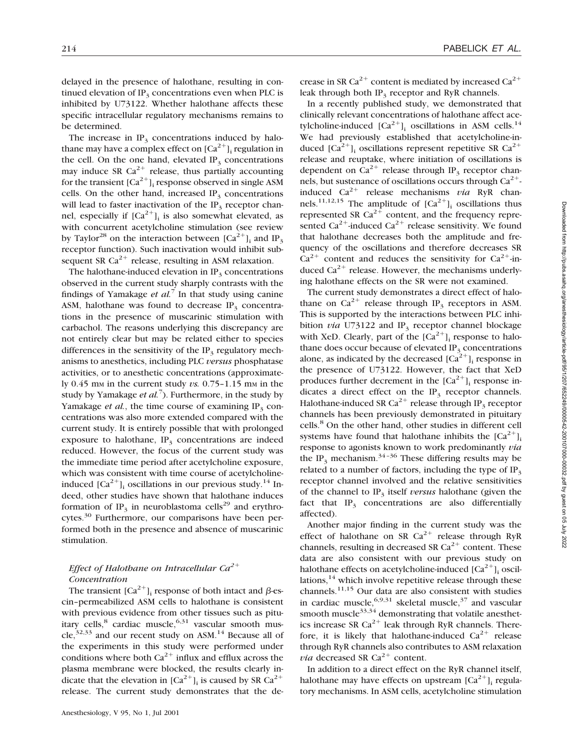delayed in the presence of halothane, resulting in continued elevation of  $IP_2$  concentrations even when PLC is inhibited by U73122. Whether halothane affects these specific intracellular regulatory mechanisms remains to be determined.

The increase in  $IP_3$  concentrations induced by halothane may have a complex effect on  $[Ca^{2+}]$ <sub>i</sub> regulation in the cell. On the one hand, elevated  $IP<sub>3</sub>$  concentrations may induce SR  $Ca^{2+}$  release, thus partially accounting for the transient  $[Ca^{2+}]$ ; response observed in single ASM cells. On the other hand, increased  $IP<sub>3</sub>$  concentrations will lead to faster inactivation of the  $IP_3$  receptor channel, especially if  $[Ca^{2+}]$ <sub>i</sub> is also somewhat elevated, as with concurrent acetylcholine stimulation (see review by Taylor<sup>28</sup> on the interaction between  $[Ca^{2+}]_i$  and IP<sub>3</sub> receptor function). Such inactivation would inhibit subsequent SR  $Ca^{2+}$  release, resulting in ASM relaxation.

The halothane-induced elevation in  $IP<sub>3</sub>$  concentrations observed in the current study sharply contrasts with the findings of Yamakage *et al.*<sup>7</sup> In that study using canine ASM, halothane was found to decrease  $IP_3$  concentrations in the presence of muscarinic stimulation with carbachol. The reasons underlying this discrepancy are not entirely clear but may be related either to species differences in the sensitivity of the  $IP_3$  regulatory mechanisms to anesthetics, including PLC *versus* phosphatase activities, or to anesthetic concentrations (approximately  $0.45$  mm in the current study *vs.*  $0.75-1.15$  mm in the study by Yamakage *et al.*<sup>7</sup> ). Furthermore, in the study by Yamakage *et al.*, the time course of examining  $IP<sub>3</sub>$  concentrations was also more extended compared with the current study. It is entirely possible that with prolonged exposure to halothane,  $IP<sub>3</sub>$  concentrations are indeed reduced. However, the focus of the current study was the immediate time period after acetylcholine exposure, which was consistent with time course of acetylcholineinduced  $[Ca^{2+}]$ <sub>i</sub> oscillations in our previous study.<sup>14</sup> Indeed, other studies have shown that halothane induces formation of IP<sub>3</sub> in neuroblastoma cells<sup>29</sup> and erythrocytes.<sup>30</sup> Furthermore, our comparisons have been performed both in the presence and absence of muscarinic stimulation.

# *Effect of Halothane on Intracellular Ca*<sup>2+</sup> *Concentration*

The transient  $[Ca^{2+}]$ <sub>i</sub> response of both intact and  $\beta$ -escin–permeabilized ASM cells to halothane is consistent with previous evidence from other tissues such as pituitary cells, $8$  cardiac muscle, $6,31$  vascular smooth muscle,<sup>32,33</sup> and our recent study on ASM.<sup>14</sup> Because all of the experiments in this study were performed under conditions where both  $Ca^{2+}$  influx and efflux across the plasma membrane were blocked, the results clearly indicate that the elevation in  $[Ca^{2+}]$ <sub>i</sub> is caused by SR  $Ca^{2+}$ release. The current study demonstrates that the decrease in SR Ca<sup>2+</sup> content is mediated by increased  $Ca^{2+}$ leak through both  $IP_3$  receptor and RyR channels.

In a recently published study, we demonstrated that clinically relevant concentrations of halothane affect acetylcholine-induced  $[Ca^{2+}]$ <sub>i</sub> oscillations in ASM cells.<sup>14</sup> We had previously established that acetylcholine-induced  $[Ca^{2+}]$ <sub>i</sub> oscillations represent repetitive SR  $Ca^{2+}$ release and reuptake, where initiation of oscillations is dependent on  $Ca^{2+}$  release through IP<sub>3</sub> receptor channels, but sustenance of oscillations occurs through  $Ca^{2+}$ induced  $Ca^{2+}$  release mechanisms *via* RyR channels.<sup>11,12,15</sup> The amplitude of  $[Ca^{2+}]$ <sub>i</sub> oscillations thus represented SR  $Ca^{2+}$  content, and the frequency represented Ca<sup>2+</sup>-induced Ca<sup>2+</sup> release sensitivity. We found that halothane decreases both the amplitude and frequency of the oscillations and therefore decreases SR  $Ca^{2+}$  content and reduces the sensitivity for  $Ca^{2+}$ -induced  $Ca^{2+}$  release. However, the mechanisms underlying halothane effects on the SR were not examined.

The current study demonstrates a direct effect of halothane on  $Ca^{2+}$  release through IP<sub>3</sub> receptors in ASM. This is supported by the interactions between PLC inhibition *via* U73122 and  $IP_3$  receptor channel blockage with XeD. Clearly, part of the  $[Ca^{2+}]$ <sub>i</sub> response to halothane does occur because of elevated  $IP<sub>3</sub>$  concentrations alone, as indicated by the decreased  $[Ca^{2+}]$ , response in the presence of U73122. However, the fact that XeD produces further decrement in the  $[Ca^{2+}]$ <sub>i</sub> response indicates a direct effect on the  $IP<sub>3</sub>$  receptor channels. Halothane-induced SR Ca<sup>2+</sup> release through IP<sub>3</sub> receptor channels has been previously demonstrated in pituitary cells.8 On the other hand, other studies in different cell systems have found that halothane inhibits the  $[Ca^{2+}]_i$ response to agonists known to work predominantly *via* the IP<sub>3</sub> mechanism.<sup>34-36</sup> These differing results may be related to a number of factors, including the type of  $IP<sub>3</sub>$ receptor channel involved and the relative sensitivities of the channel to IP<sub>3</sub> itself *versus* halothane (given the fact that  $IP_3$  concentrations are also differentially affected).

Another major finding in the current study was the effect of halothane on SR  $Ca^{2+}$  release through RyR channels, resulting in decreased SR  $Ca^{2+}$  content. These data are also consistent with our previous study on halothane effects on acetylcholine-induced  $[Ca^{2+}]$ , oscillations, $14$  which involve repetitive release through these channels.11,15 Our data are also consistent with studies in cardiac muscle,  $6,9,31$  skeletal muscle,  $37$  and vascular smooth muscle $33,34$  demonstrating that volatile anesthetics increase SR  $Ca^{2+}$  leak through RyR channels. Therefore, it is likely that halothane-induced  $Ca^{2+}$  release through RyR channels also contributes to ASM relaxation *via* decreased SR  $Ca^{2+}$  content.

In addition to a direct effect on the RyR channel itself, halothane may have effects on upstream  $[Ca^{2+}]$ ; regulatory mechanisms. In ASM cells, acetylcholine stimulation